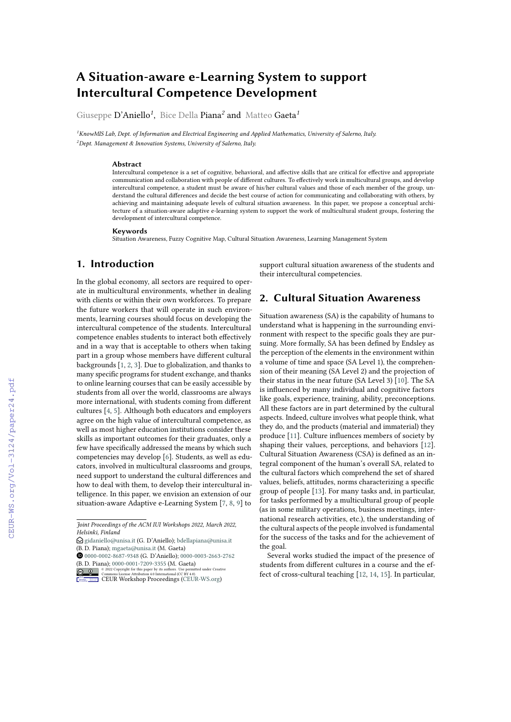# **A Situation-aware e-Learning System to support Intercultural Competence Development**

Giuseppe D'Aniello*<sup>1</sup>* , Bice Della Piana*<sup>2</sup>* and Matteo Gaeta*<sup>1</sup>*

*<sup>1</sup>KnowMIS Lab, Dept. of Information and Electrical Engineering and Applied Mathematics, University of Salerno, Italy. <sup>2</sup>Dept. Management & Innovation Systems, University of Salerno, Italy.*

#### **Abstract**

Intercultural competence is a set of cognitive, behavioral, and affective skills that are critical for effective and appropriate communication and collaboration with people of different cultures. To effectively work in multicultural groups, and develop intercultural competence, a student must be aware of his/her cultural values and those of each member of the group, understand the cultural differences and decide the best course of action for communicating and collaborating with others, by achieving and maintaining adequate levels of cultural situation awareness. In this paper, we propose a conceptual architecture of a situation-aware adaptive e-learning system to support the work of multicultural student groups, fostering the development of intercultural competence.

#### **Keywords**

Situation Awareness, Fuzzy Cognitive Map, Cultural Situation Awareness, Learning Management System

# **1. Introduction**

In the global economy, all sectors are required to operate in multicultural environments, whether in dealing with clients or within their own workforces. To prepare the future workers that will operate in such environments, learning courses should focus on developing the intercultural competence of the students. Intercultural competence enables students to interact both effectively and in a way that is acceptable to others when taking part in a group whose members have different cultural backgrounds [\[1,](#page--1-0) [2,](#page--1-1) [3\]](#page--1-2). Due to globalization, and thanks to many specific programs for student exchange, and thanks to online learning courses that can be easily accessible by students from all over the world, classrooms are always more international, with students coming from different cultures [\[4,](#page--1-3) [5\]](#page--1-4). Although both educators and employers agree on the high value of intercultural competence, as well as most higher education institutions consider these skills as important outcomes for their graduates, only a few have specifically addressed the means by which such competencies may develop [\[6\]](#page--1-5). Students, as well as educators, involved in multicultural classrooms and groups, need support to understand the cultural differences and how to deal with them, to develop their intercultural intelligence. In this paper, we envision an extension of our situation-aware Adaptive e-Learning System [\[7,](#page--1-6) [8,](#page--1-7) [9\]](#page--1-8) to support cultural situation awareness of the students and their intercultural competencies.

# **2. Cultural Situation Awareness**

Situation awareness (SA) is the capability of humans to understand what is happening in the surrounding environment with respect to the specific goals they are pursuing. More formally, SA has been defined by Endsley as the perception of the elements in the environment within a volume of time and space (SA Level 1), the comprehension of their meaning (SA Level 2) and the projection of their status in the near future (SA Level 3) [\[10\]](#page--1-9). The SA is influenced by many individual and cognitive factors like goals, experience, training, ability, preconceptions. All these factors are in part determined by the cultural aspects. Indeed, culture involves what people think, what they do, and the products (material and immaterial) they produce [\[11\]](#page--1-10). Culture influences members of society by shaping their values, perceptions, and behaviors [\[12\]](#page--1-11). Cultural Situation Awareness (CSA) is defined as an integral component of the human's overall SA, related to the cultural factors which comprehend the set of shared values, beliefs, attitudes, norms characterizing a specific group of people [\[13\]](#page--1-12). For many tasks and, in particular, for tasks performed by a multicultural group of people (as in some military operations, business meetings, international research activities, etc.), the understanding of the cultural aspects of the people involved is fundamental for the success of the tasks and for the achievement of the goal.

Several works studied the impact of the presence of students from different cultures in a course and the effect of cross-cultural teaching [\[12,](#page--1-11) [14,](#page--1-13) [15\]](#page--1-14). In particular,

*Joint Proceedings of the ACM IUI Workshops 2022, March 2022, Helsinki, Finland*

 $\bigcirc$  [gidaniello@unisa.it](mailto:gidaniello@unisa.it) (G. D'Aniello); [bdellapiana@unisa.it](mailto:bdellapiana@unisa.it) (B. D. Piana); [mgaeta@unisa.it](mailto:mgaeta@unisa.it) (M. Gaeta)

[0000-0002-8687-9348](https://orcid.org/0000-0002-8687-9348) (G. D'Aniello); [0000-0003-2663-2762](https://orcid.org/0000-0003-2663-2762) (B. D. Piana); [0000-0001-7209-3355](https://orcid.org/0000-0001-7209-3355) (M. Gaeta)

**DUAL CONSECTS** Commons License Attribution 4.0 International (CC BY 4.0).<br>
COMMONS License Attribution 4.0 International (CC BY 4.0).<br> [CEUR](https://creativecommons.org/licenses/by/4.0) Workshop [Proceedings](http://ceur-ws.org) [\(CEUR-WS.org\)](http://ceur-ws.org)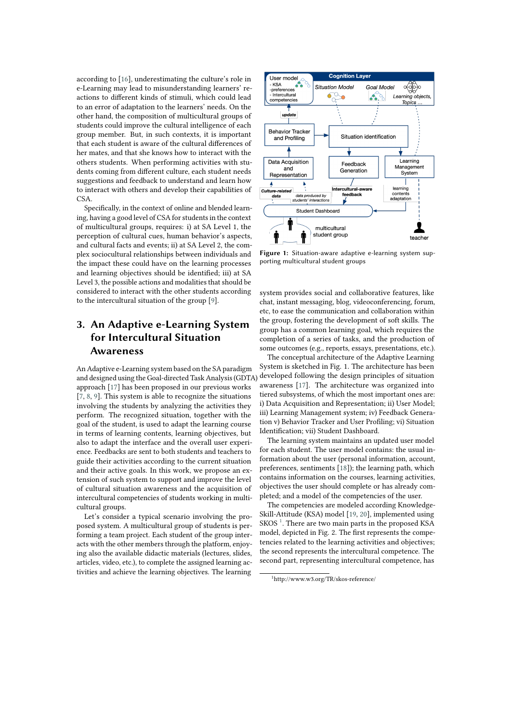according to [\[16\]](#page-4-0), underestimating the culture's role in e-Learning may lead to misunderstanding learners' reactions to different kinds of stimuli, which could lead to an error of adaptation to the learners' needs. On the other hand, the composition of multicultural groups of students could improve the cultural intelligence of each group member. But, in such contexts, it is important that each student is aware of the cultural differences of her mates, and that she knows how to interact with the others students. When performing activities with students coming from different culture, each student needs suggestions and feedback to understand and learn how to interact with others and develop their capabilities of CSA.

Specifically, in the context of online and blended learning, having a good level of CSA for students in the context of multicultural groups, requires: i) at SA Level 1, the perception of cultural cues, human behavior's aspects, and cultural facts and events; ii) at SA Level 2, the complex sociocultural relationships between individuals and the impact these could have on the learning processes and learning objectives should be identified; iii) at SA Level 3, the possible actions and modalities that should be considered to interact with the other students according to the intercultural situation of the group [\[9\]](#page-4-1).

# **3. An Adaptive e-Learning System for Intercultural Situation Awareness**

An Adaptive e-Learning system based on the SA paradigm and designed using the Goal-directed Task Analysis (GDTA) approach [\[17\]](#page-4-2) has been proposed in our previous works [\[7,](#page-3-0) [8,](#page-4-3) [9\]](#page-4-1). This system is able to recognize the situations involving the students by analyzing the activities they perform. The recognized situation, together with the goal of the student, is used to adapt the learning course in terms of learning contents, learning objectives, but also to adapt the interface and the overall user experience. Feedbacks are sent to both students and teachers to guide their activities according to the current situation and their active goals. In this work, we propose an extension of such system to support and improve the level of cultural situation awareness and the acquisition of intercultural competencies of students working in multicultural groups.

Let's consider a typical scenario involving the proposed system. A multicultural group of students is performing a team project. Each student of the group interacts with the other members through the platform, enjoying also the available didactic materials (lectures, slides, articles, video, etc.), to complete the assigned learning activities and achieve the learning objectives. The learning



**Figure 1:** Situation-aware adaptive e-learning system supporting multicultural student groups

system provides social and collaborative features, like chat, instant messaging, blog, videoconferencing, forum, etc, to ease the communication and collaboration within the group, fostering the development of soft skills. The group has a common learning goal, which requires the completion of a series of tasks, and the production of some outcomes (e.g., reports, essays, presentations, etc.).

The conceptual architecture of the Adaptive Learning System is sketched in Fig. 1. The architecture has been developed following the design principles of situation awareness [\[17\]](#page-4-2). The architecture was organized into tiered subsystems, of which the most important ones are: i) Data Acquisition and Representation; ii) User Model; iii) Learning Management system; iv) Feedback Generation v) Behavior Tracker and User Profiling; vi) Situation Identification; vii) Student Dashboard.

The learning system maintains an updated user model for each student. The user model contains: the usual information about the user (personal information, account, preferences, sentiments [\[18\]](#page-4-4)); the learning path, which contains information on the courses, learning activities, objectives the user should complete or has already completed; and a model of the competencies of the user.

The competencies are modeled according Knowledge-Skill-Attitude (KSA) model [\[19,](#page-4-5) [20\]](#page-4-6), implemented using SKOS $<sup>1</sup>$  $<sup>1</sup>$  $<sup>1</sup>$ . There are two main parts in the proposed KSA</sup> model, depicted in Fig. 2. The first represents the competencies related to the learning activities and objectives; the second represents the intercultural competence. The second part, representing intercultural competence, has

<span id="page-1-0"></span><sup>1</sup>http://www.w3.org/TR/skos-reference/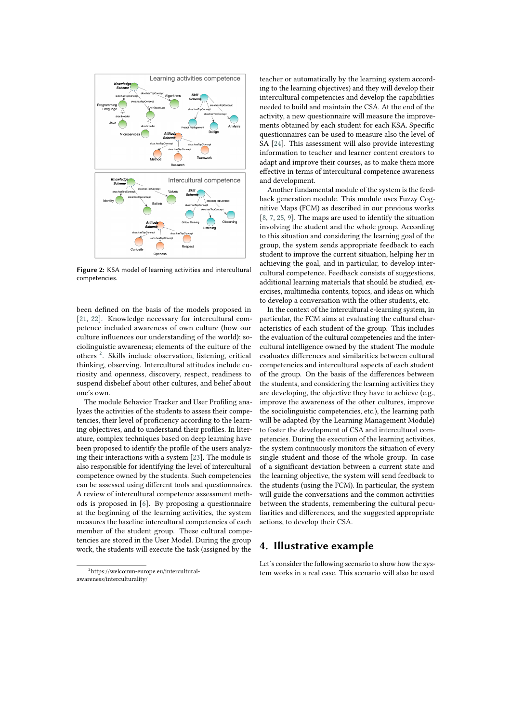

**Figure 2:** KSA model of learning activities and intercultural competencies.

been defined on the basis of the models proposed in [\[21,](#page-4-7) [22\]](#page-4-8). Knowledge necessary for intercultural competence included awareness of own culture (how our culture influences our understanding of the world); sociolinguistic awareness; elements of the culture of the others<sup>[2](#page-2-0)</sup>. Skills include observation, listening, critical thinking, observing. Intercultural attitudes include curiosity and openness, discovery, respect, readiness to suspend disbelief about other cultures, and belief about one's own.

The module Behavior Tracker and User Profiling analyzes the activities of the students to assess their competencies, their level of proficiency according to the learning objectives, and to understand their profiles. In literature, complex techniques based on deep learning have been proposed to identify the profile of the users analyzing their interactions with a system [\[23\]](#page-4-9). The module is also responsible for identifying the level of intercultural competence owned by the students. Such competencies can be assessed using different tools and questionnaires. A review of intercultural competence assessment methods is proposed in [\[6\]](#page-3-1). By proposing a questionnaire at the beginning of the learning activities, the system measures the baseline intercultural competencies of each member of the student group. These cultural competencies are stored in the User Model. During the group work, the students will execute the task (assigned by the

<span id="page-2-0"></span><sup>2</sup>https://welcomm-europe.eu/interculturalawareness/interculturality/

teacher or automatically by the learning system according to the learning objectives) and they will develop their intercultural competencies and develop the capabilities needed to build and maintain the CSA. At the end of the activity, a new questionnaire will measure the improvements obtained by each student for each KSA. Specific questionnaires can be used to measure also the level of SA [\[24\]](#page-4-10). This assessment will also provide interesting information to teacher and learner content creators to adapt and improve their courses, as to make them more effective in terms of intercultural competence awareness and development.

Another fundamental module of the system is the feedback generation module. This module uses Fuzzy Cognitive Maps (FCM) as described in our previous works  $[8, 7, 25, 9]$  $[8, 7, 25, 9]$  $[8, 7, 25, 9]$  $[8, 7, 25, 9]$  $[8, 7, 25, 9]$  $[8, 7, 25, 9]$  $[8, 7, 25, 9]$ . The maps are used to identify the situation involving the student and the whole group. According to this situation and considering the learning goal of the group, the system sends appropriate feedback to each student to improve the current situation, helping her in achieving the goal, and in particular, to develop intercultural competence. Feedback consists of suggestions, additional learning materials that should be studied, exercises, multimedia contents, topics, and ideas on which to develop a conversation with the other students, etc.

In the context of the intercultural e-learning system, in particular, the FCM aims at evaluating the cultural characteristics of each student of the group. This includes the evaluation of the cultural competencies and the intercultural intelligence owned by the student The module evaluates differences and similarities between cultural competencies and intercultural aspects of each student of the group. On the basis of the differences between the students, and considering the learning activities they are developing, the objective they have to achieve (e.g., improve the awareness of the other cultures, improve the sociolinguistic competencies, etc.), the learning path will be adapted (by the Learning Management Module) to foster the development of CSA and intercultural competencies. During the execution of the learning activities, the system continuously monitors the situation of every single student and those of the whole group. In case of a significant deviation between a current state and the learning objective, the system will send feedback to the students (using the FCM). In particular, the system will guide the conversations and the common activities between the students, remembering the cultural peculiarities and differences, and the suggested appropriate actions, to develop their CSA.

### **4. Illustrative example**

Let's consider the following scenario to show how the system works in a real case. This scenario will also be used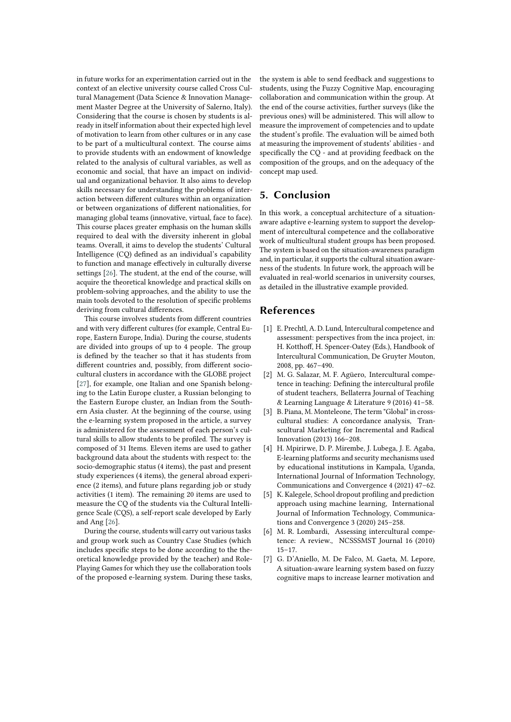in future works for an experimentation carried out in the context of an elective university course called Cross Cultural Management (Data Science & Innovation Management Master Degree at the University of Salerno, Italy). Considering that the course is chosen by students is already in itself information about their expected high level of motivation to learn from other cultures or in any case to be part of a multicultural context. The course aims to provide students with an endowment of knowledge related to the analysis of cultural variables, as well as economic and social, that have an impact on individual and organizational behavior. It also aims to develop skills necessary for understanding the problems of interaction between different cultures within an organization or between organizations of different nationalities, for managing global teams (innovative, virtual, face to face). This course places greater emphasis on the human skills required to deal with the diversity inherent in global teams. Overall, it aims to develop the students' Cultural Intelligence (CQ) defined as an individual's capability to function and manage effectively in culturally diverse settings [\[26\]](#page-4-12). The student, at the end of the course, will acquire the theoretical knowledge and practical skills on problem-solving approaches, and the ability to use the main tools devoted to the resolution of specific problems deriving from cultural differences.

This course involves students from different countries and with very different cultures (for example, Central Europe, Eastern Europe, India). During the course, students are divided into groups of up to 4 people. The group is defined by the teacher so that it has students from different countries and, possibly, from different sociocultural clusters in accordance with the GLOBE project [\[27\]](#page-4-13), for example, one Italian and one Spanish belonging to the Latin Europe cluster, a Russian belonging to the Eastern Europe cluster, an Indian from the Southern Asia cluster. At the beginning of the course, using the e-learning system proposed in the article, a survey is administered for the assessment of each person's cultural skills to allow students to be profiled. The survey is composed of 31 Items. Eleven items are used to gather background data about the students with respect to: the socio-demographic status (4 items), the past and present study experiences (4 items), the general abroad experience (2 items), and future plans regarding job or study activities (1 item). The remaining 20 items are used to measure the CQ of the students via the Cultural Intelligence Scale (CQS), a self-report scale developed by Early and Ang [\[26\]](#page-4-12).

During the course, students will carry out various tasks and group work such as Country Case Studies (which includes specific steps to be done according to the theoretical knowledge provided by the teacher) and Role-Playing Games for which they use the collaboration tools of the proposed e-learning system. During these tasks,

the system is able to send feedback and suggestions to students, using the Fuzzy Cognitive Map, encouraging collaboration and communication within the group. At the end of the course activities, further surveys (like the previous ones) will be administered. This will allow to measure the improvement of competencies and to update the student's profile. The evaluation will be aimed both at measuring the improvement of students' abilities - and specifically the CQ - and at providing feedback on the composition of the groups, and on the adequacy of the concept map used.

## **5. Conclusion**

In this work, a conceptual architecture of a situationaware adaptive e-learning system to support the development of intercultural competence and the collaborative work of multicultural student groups has been proposed. The system is based on the situation-awareness paradigm and, in particular, it supports the cultural situation awareness of the students. In future work, the approach will be evaluated in real-world scenarios in university courses, as detailed in the illustrative example provided.

# **References**

- [1] E. Prechtl, A. D. Lund, Intercultural competence and assessment: perspectives from the inca project, in: H. Kotthoff, H. Spencer-Oatey (Eds.), Handbook of Intercultural Communication, De Gruyter Mouton, 2008, pp. 467–490.
- [2] M. G. Salazar, M. F. Agüero, Intercultural competence in teaching: Defining the intercultural profile of student teachers, Bellaterra Journal of Teaching & Learning Language & Literature 9 (2016) 41–58.
- [3] B. Piana, M. Monteleone, The term "Global" in crosscultural studies: A concordance analysis, Transcultural Marketing for Incremental and Radical Innovation (2013) 166–208.
- [4] H. Mpirirwe, D. P. Mirembe, J. Lubega, J. E. Agaba, E-learning platforms and security mechanisms used by educational institutions in Kampala, Uganda, International Journal of Information Technology, Communications and Convergence 4 (2021) 47–62.
- [5] K. Kalegele, School dropout profiling and prediction approach using machine learning, International Journal of Information Technology, Communications and Convergence 3 (2020) 245–258.
- <span id="page-3-1"></span>[6] M. R. Lombardi, Assessing intercultural competence: A review., NCSSSMST Journal 16 (2010) 15–17.
- <span id="page-3-0"></span>[7] G. D'Aniello, M. De Falco, M. Gaeta, M. Lepore, A situation-aware learning system based on fuzzy cognitive maps to increase learner motivation and